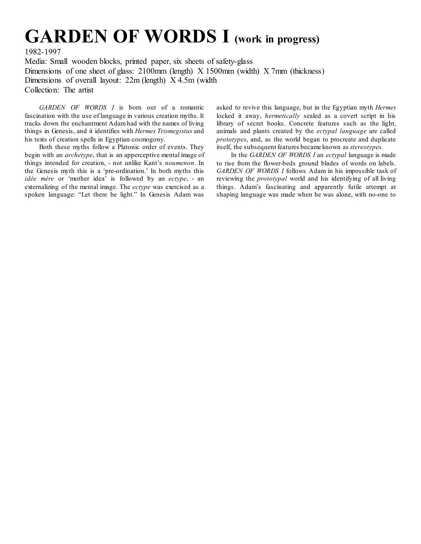## **GARDEN OF WORDS I (work in progress)**

1982-1997

Media: Small wooden blocks, printed paper, six sheets of safety-glass Dimensions of one sheet of glass: 2100mm (length) X 1500mm (width) X 7mm (thickness) Dimensions of overall layout: 22m (length) X 4.5m (width Collection: The artist

*GARDEN OF WORDS I* is born out of a romantic fascination with the use of language in various creation myths. It tracks down the enchantment Adam had with the names of living things in Genesis, and it identifies with *Hermes Trismegistus* and his texts of creation spells in Egyptian cosmogony.

Both these myths follow a Platonic order of events. They begin with an *archetype*, that is an apperceptive mental image of things intended for creation, - not unlike Kant's *noumenon*. In the Genesis myth this is a 'pre-ordination.' In both myths this *idée mère* or 'mother idea' is followed by an *ectype*, - an externalizing of the mental image. The *ectype* was exercised as a spoken language: "Let there be light." In Genesis Adam was

asked to revive this language, but in the Egyptian myth *Hermes*  locked it away, *hermetically* sealed as a covert script in his library of secret books. Concrete features such as the light, animals and plants created by the *ectypal language* are called *prototypes*, and, as the world began to procreate and duplicate itself, the subsequent features became known as *stereotypes*.

In the *GARDEN OF WORDS I* an *ectypal* language is made to rise from the flower-beds ground blades of words on labels. *GARDEN OF WORDS I* follows Adam in his impossible task of reviewing the *prototypal* world and his identifying of all living things. Adam's fascinating and apparently futile attempt at shaping language was made when he was alone, with no-one to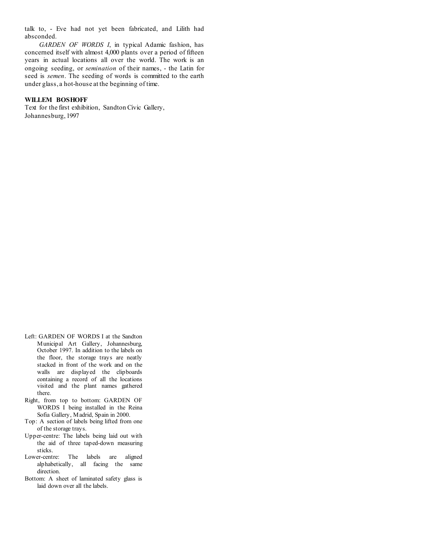talk to, - Eve had not yet been fabricated, and Lilith had absconded.

*GARDEN OF WORDS I*, in typical Adamic fashion, has concerned itself with almost 4,000 plants over a period of fifteen years in actual locations all over the world. The work is an ongoing seeding, or *semination* of their names, - the Latin for seed is *semen*. The seeding of words is committed to the earth under glass, a hot-house at the beginning of time.

## **WILLEM BOSHOFF**

Text for the first exhibition, Sandton Civic Gallery, Johannesburg, 1997

- Left: GARDEN OF WORDS I at the Sandton Municipal Art Gallery, Johannesburg, October 1997. In addition to the labels on the floor, the storage trays are neatly stacked in front of the work and on the walls are displayed the clipboards containing a record of all the locations visited and the plant names gathered there.
- Right, from top to bottom: GARDEN OF WORDS I being installed in the Reina Sofia Gallery, Madrid, Spain in 2000.
- Top: A section of labels being lifted from one of the storage trays.
- Upper-centre: The labels being laid out with the aid of three taped-down measuring sticks.
- Lower-centre: The labels are aligned alphabetically, all facing the same direction.
- Bottom: A sheet of laminated safety glass is laid down over all the labels.